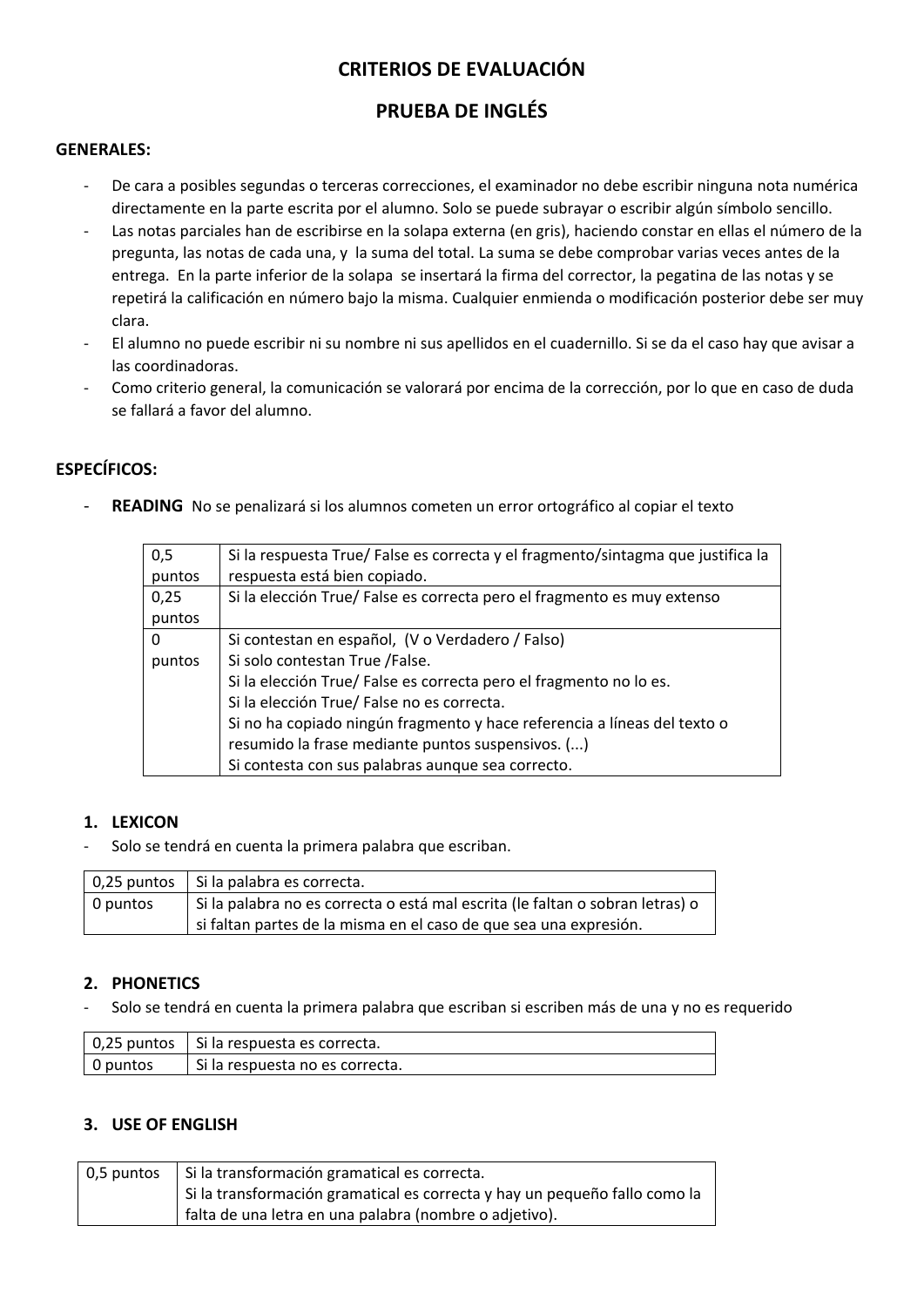# **CRITERIOS DE EVALUACIÓN**

# **PRUEBA DE INGLÉS**

### **GENERALES:**

- De cara a posibles segundas o terceras correcciones, el examinador no debe escribir ninguna nota numérica directamente en la parte escrita por el alumno. Solo se puede subrayar o escribir algún símbolo sencillo.
- Las notas parciales han de escribirse en la solapa externa (en gris), haciendo constar en ellas el número de la pregunta, las notas de cada una, y la suma del total. La suma se debe comprobar varias veces antes de la entrega. En la parte inferior de la solapa se insertará la firma del corrector, la pegatina de las notas y se repetirá la calificación en número bajo la misma. Cualquier enmienda o modificación posterior debe ser muy clara.
- El alumno no puede escribir ni su nombre ni sus apellidos en el cuadernillo. Si se da el caso hay que avisar a las coordinadoras.
- Como criterio general, la comunicación se valorará por encima de la corrección, por lo que en caso de duda se fallará a favor del alumno.

# **ESPECÍFICOS:**

READING No se penalizará si los alumnos cometen un error ortográfico al copiar el texto

| 0,5      | Si la respuesta True/ False es correcta y el fragmento/sintagma que justifica la |  |  |  |  |  |  |
|----------|----------------------------------------------------------------------------------|--|--|--|--|--|--|
| puntos   | respuesta está bien copiado.                                                     |  |  |  |  |  |  |
| 0,25     | Si la elección True/ False es correcta pero el fragmento es muy extenso          |  |  |  |  |  |  |
| puntos   |                                                                                  |  |  |  |  |  |  |
| $\Omega$ | Si contestan en español, (V o Verdadero / Falso)                                 |  |  |  |  |  |  |
| puntos   | Si solo contestan True /False.                                                   |  |  |  |  |  |  |
|          | Si la elección True/ False es correcta pero el fragmento no lo es.               |  |  |  |  |  |  |
|          | Si la elección True/ False no es correcta.                                       |  |  |  |  |  |  |
|          | Si no ha copiado ningún fragmento y hace referencia a líneas del texto o         |  |  |  |  |  |  |
|          | resumido la frase mediante puntos suspensivos. ()                                |  |  |  |  |  |  |
|          | Si contesta con sus palabras aunque sea correcto.                                |  |  |  |  |  |  |

# **1. LEXICON**

Solo se tendrá en cuenta la primera palabra que escriban.

|                       | 0,25 puntos   Si la palabra es correcta.                                      |
|-----------------------|-------------------------------------------------------------------------------|
| $\overline{0}$ puntos | Si la palabra no es correcta o está mal escrita (le faltan o sobran letras) o |
|                       | si faltan partes de la misma en el caso de que sea una expresión.             |

#### **2. PHONETICS**

- Solo se tendrá en cuenta la primera palabra que escriban si escriben más de una y no es requerido

|          | $\vert$ 0,25 puntos $\vert$ Si la respuesta es correcta. |
|----------|----------------------------------------------------------|
| 0 puntos | Si la respuesta no es correcta.                          |

# **3. USE OF ENGLISH**

| 0,5 puntos   Si la transformación gramatical es correcta.                  |
|----------------------------------------------------------------------------|
| Si la transformación gramatical es correcta y hay un pequeño fallo como la |
| falta de una letra en una palabra (nombre o adjetivo).                     |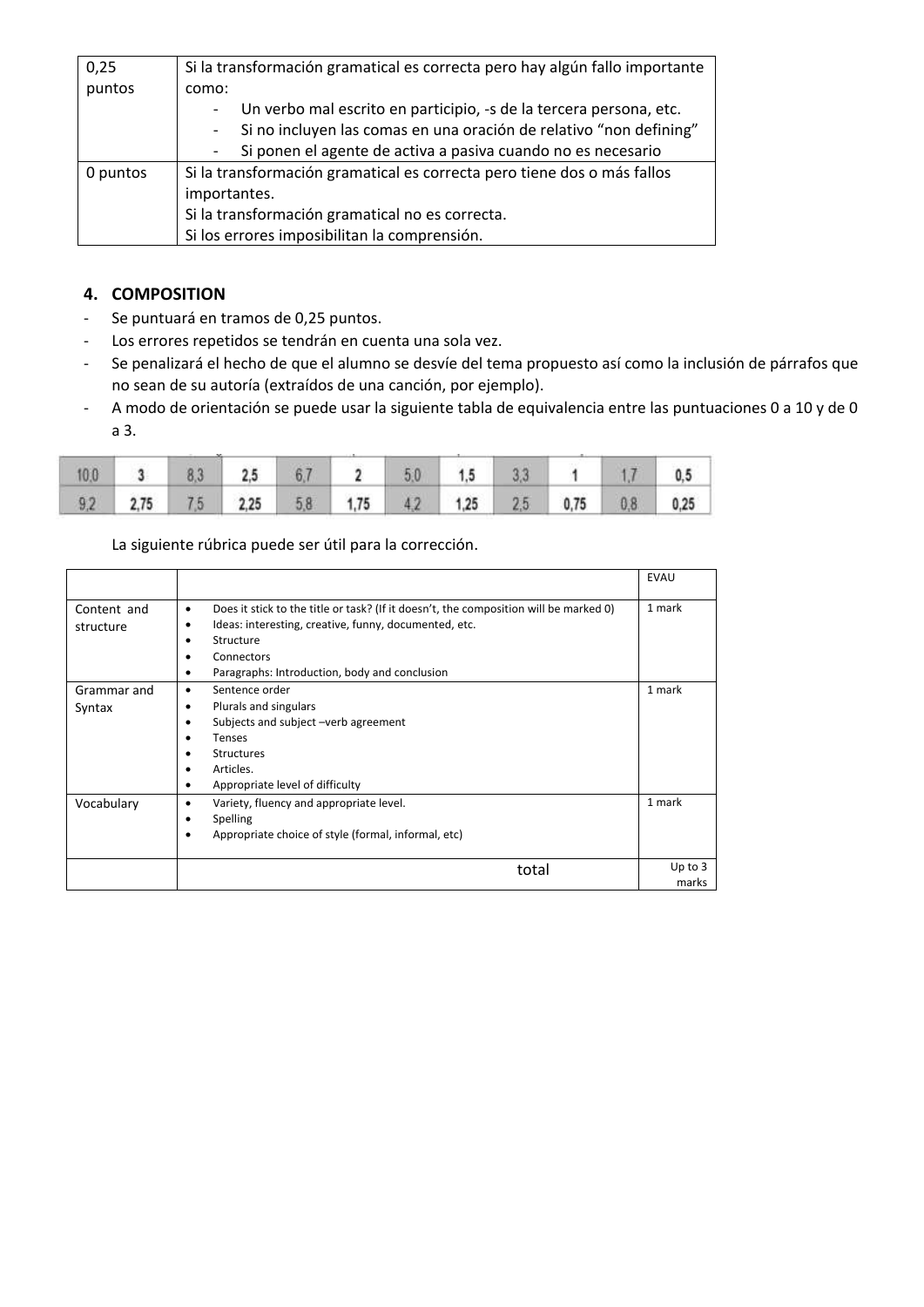| 0,25     | Si la transformación gramatical es correcta pero hay algún fallo importante |  |  |  |  |  |  |  |
|----------|-----------------------------------------------------------------------------|--|--|--|--|--|--|--|
| puntos   | como:                                                                       |  |  |  |  |  |  |  |
|          | Un verbo mal escrito en participio, -s de la tercera persona, etc.          |  |  |  |  |  |  |  |
|          | Si no incluyen las comas en una oración de relativo "non defining"          |  |  |  |  |  |  |  |
|          | Si ponen el agente de activa a pasiva cuando no es necesario                |  |  |  |  |  |  |  |
| 0 puntos | Si la transformación gramatical es correcta pero tiene dos o más fallos     |  |  |  |  |  |  |  |
|          | importantes.                                                                |  |  |  |  |  |  |  |
|          | Si la transformación gramatical no es correcta.                             |  |  |  |  |  |  |  |
|          | Si los errores imposibilitan la comprensión.                                |  |  |  |  |  |  |  |

# **4. COMPOSITION**

- Se puntuará en tramos de 0,25 puntos.
- Los errores repetidos se tendrán en cuenta una sola vez.
- Se penalizará el hecho de que el alumno se desvíe del tema propuesto así como la inclusión de párrafos que no sean de su autoría (extraídos de una canción, por ejemplo).
- A modo de orientación se puede usar la siguiente tabla de equivalencia entre las puntuaciones 0 a 10 y de 0 a 3.

|  | $10.0$ 3 8.3 2.5 6.7 2 5.0 1.5 3.3 1 1.7 0.5          |  |  |  |  |
|--|-------------------------------------------------------|--|--|--|--|
|  | 9,2 2,75 7,5 2,25 5,8 1,75 4,2 1,25 2,5 0,75 0,8 0,25 |  |  |  |  |

La siguiente rúbrica puede ser útil para la corrección.

|                          |                                                                                                                                                                                                                                                     | <b>EVAU</b>        |
|--------------------------|-----------------------------------------------------------------------------------------------------------------------------------------------------------------------------------------------------------------------------------------------------|--------------------|
| Content and<br>structure | Does it stick to the title or task? (If it doesn't, the composition will be marked 0)<br>٠<br>Ideas: interesting, creative, funny, documented, etc.<br>٠<br>Structure<br>٠<br>Connectors<br>٠<br>Paragraphs: Introduction, body and conclusion<br>٠ | 1 mark             |
| Grammar and<br>Syntax    | Sentence order<br>٠<br>Plurals and singulars<br>٠<br>Subjects and subject -verb agreement<br>٠<br><b>Tenses</b><br><b>Structures</b><br>Articles.<br>٠<br>Appropriate level of difficulty                                                           | 1 mark             |
| Vocabulary               | Variety, fluency and appropriate level.<br>٠<br>Spelling<br>٠<br>Appropriate choice of style (formal, informal, etc)<br>٠                                                                                                                           | 1 mark             |
|                          | total                                                                                                                                                                                                                                               | Up to $3$<br>marks |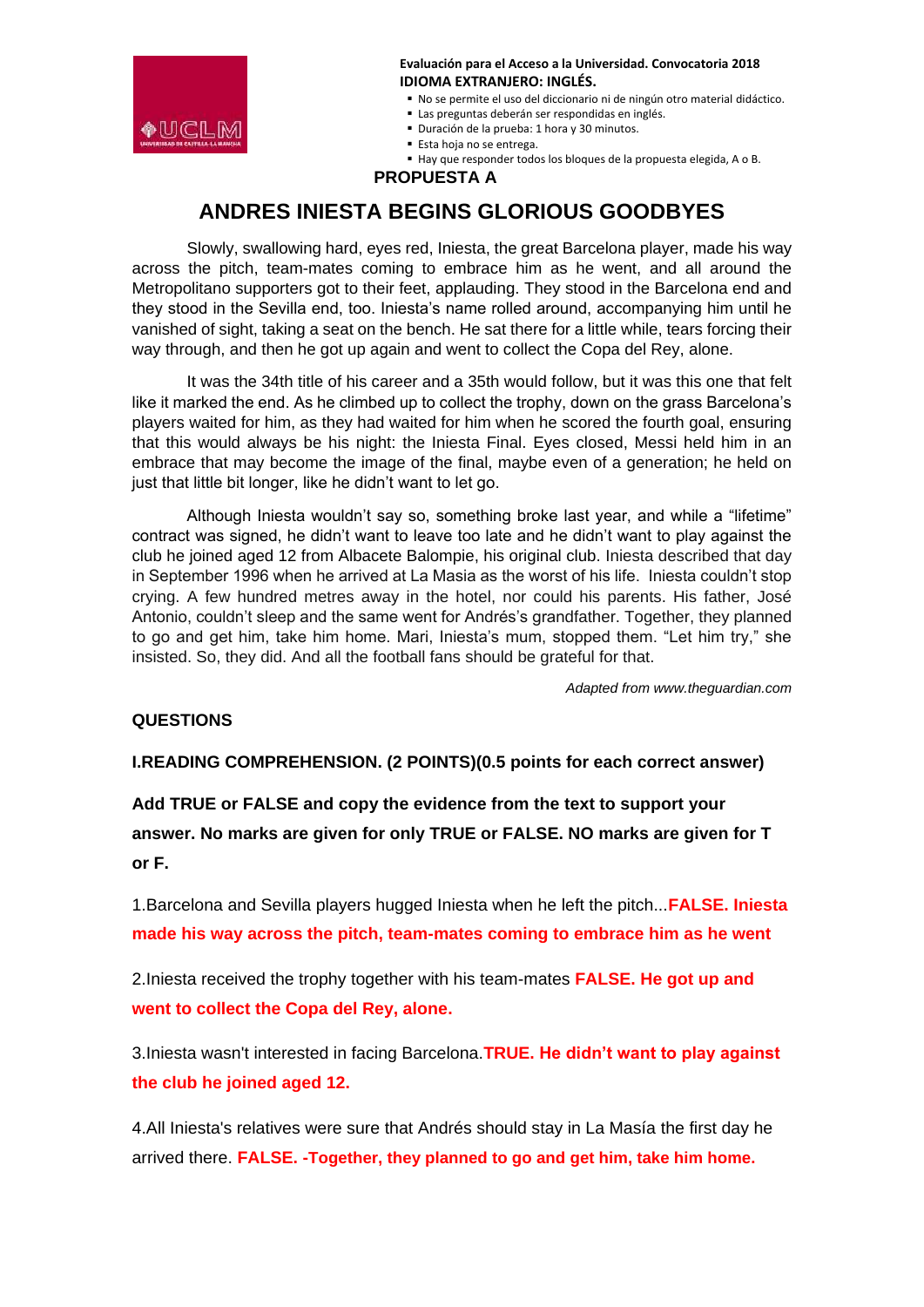

No se permite el uso del diccionario ni de ningún otro material didáctico.

- Las preguntas deberán ser respondidas en inglés.
- Duración de la prueba: 1 hora y 30 minutos.
- Esta hoja no se entrega.

Hay que responder todos los bloques de la propuesta elegida, A o B.

 **PROPUESTA A**

# **ANDRES INIESTA BEGINS GLORIOUS GOODBYES**

Slowly, swallowing hard, eyes red, Iniesta, the great Barcelona player, made his way across the pitch, team-mates coming to embrace him as he went, and all around the Metropolitano supporters got to their feet, applauding. They stood in the Barcelona end and they stood in the Sevilla end, too. Iniesta's name rolled around, accompanying him until he vanished of sight, taking a seat on the bench. He sat there for a little while, tears forcing their way through, and then he got up again and went to collect the Copa del Rey, alone.

It was the 34th title of his career and a 35th would follow, but it was this one that felt like it marked the end. As he climbed up to collect the trophy, down on the grass Barcelona's players waited for him, as they had waited for him when he scored the fourth goal, ensuring that this would always be his night: the Iniesta Final. Eyes closed, Messi held him in an embrace that may become the image of the final, maybe even of a generation; he held on just that little bit longer, like he didn't want to let go.

Although Iniesta wouldn't say so, something broke last year, and while a "lifetime" contract was signed, he didn't want to leave too late and he didn't want to play against the club he joined aged 12 from Albacete Balompie, his original club. Iniesta described that day in September 1996 when he arrived at La Masia as the worst of his life. Iniesta couldn't stop crying. A few hundred metres away in the hotel, nor could his parents. His father, José Antonio, couldn't sleep and the same went for Andrés's grandfather. Together, they planned to go and get him, take him home. Mari, Iniesta's mum, stopped them. "Let him try," she insisted. So, they did. And all the football fans should be grateful for that.

*Adapted from www.theguardian.com*

#### **QUESTIONS**

**I.READING COMPREHENSION. (2 POINTS)(0.5 points for each correct answer)**

**Add TRUE or FALSE and copy the evidence from the text to support your answer. No marks are given for only TRUE or FALSE. NO marks are given for T or F.**

1.Barcelona and Sevilla players hugged Iniesta when he left the pitch...**FALSE. Iniesta made his way across the pitch, team-mates coming to embrace him as he went**

2.Iniesta received the trophy together with his team-mates **FALSE. He got up and went to collect the Copa del Rey, alone.**

3.Iniesta wasn't interested in facing Barcelona.**TRUE. He didn't want to play against the club he joined aged 12.**

4.All Iniesta's relatives were sure that Andrés should stay in La Masía the first day he arrived there. **FALSE. -Together, they planned to go and get him, take him home.**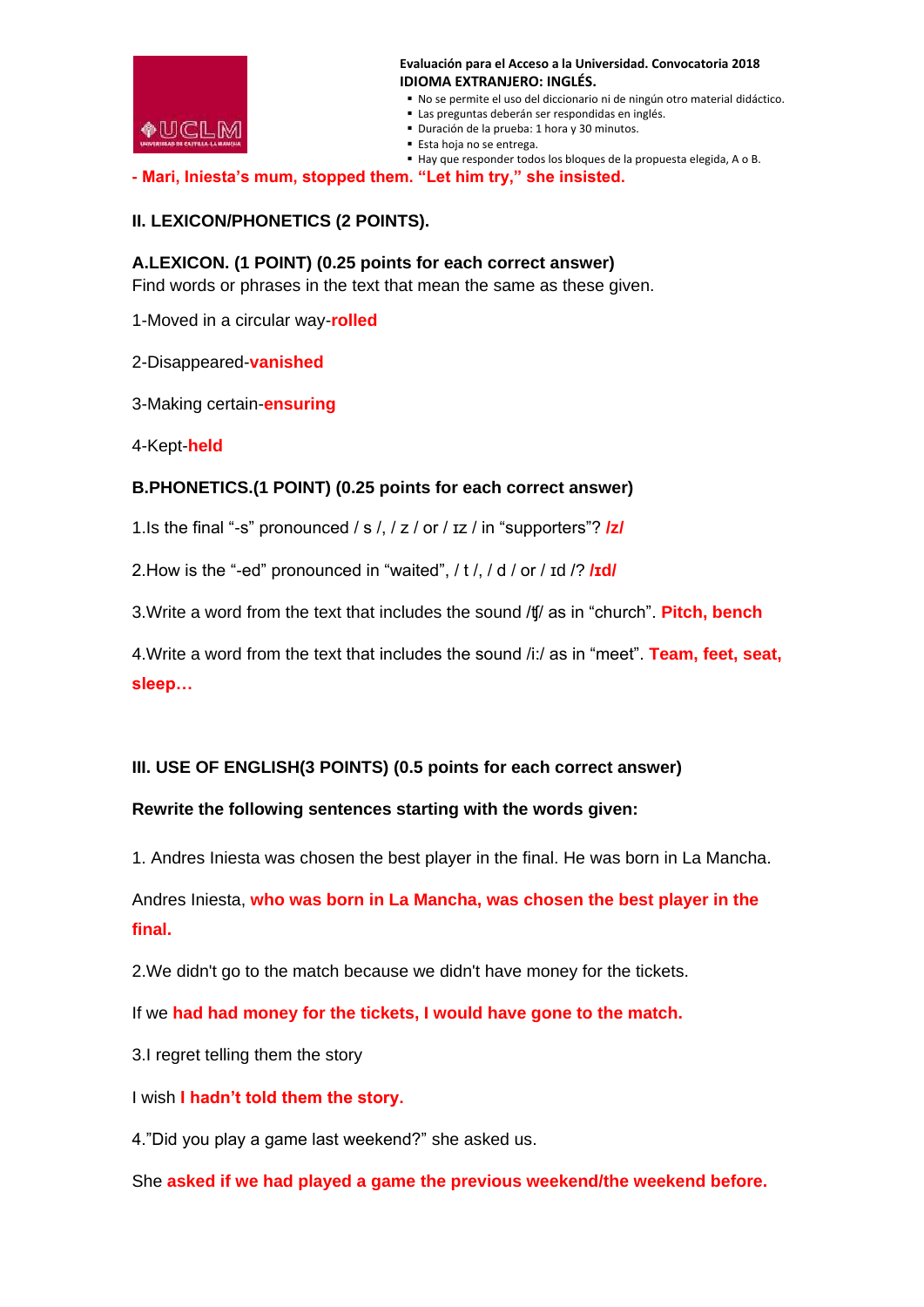

- No se permite el uso del diccionario ni de ningún otro material didáctico.
- Las preguntas deberán ser respondidas en inglés.
- Duración de la prueba: 1 hora y 30 minutos.
- Esta hoja no se entrega.
- Hay que responder todos los bloques de la propuesta elegida, A o B.

**- Mari, Iniesta's mum, stopped them. "Let him try," she insisted.**

#### **II. LEXICON/PHONETICS (2 POINTS).**

#### **A.LEXICON. (1 POINT) (0.25 points for each correct answer)**

Find words or phrases in the text that mean the same as these given.

1-Moved in a circular way-**rolled**

2-Disappeared-**vanished**

3-Making certain-**ensuring**

4-Kept-**held**

### **B.PHONETICS.(1 POINT) (0.25 points for each correct answer)**

1.Is the final "-s" pronounced / s /, / z / or / ɪz / in "supporters"? **/z/**

2.How is the "-ed" pronounced in "waited", / t /, / d / or / ɪd /? **/ɪd/**

3.Write a word from the text that includes the sound /ʧ/ as in "church". **Pitch, bench**

4.Write a word from the text that includes the sound /i:/ as in "meet". **Team, feet, seat, sleep…**

# **III. USE OF ENGLISH(3 POINTS) (0.5 points for each correct answer)**

#### **Rewrite the following sentences starting with the words given:**

1. Andres Iniesta was chosen the best player in the final. He was born in La Mancha.

Andres Iniesta, **who was born in La Mancha, was chosen the best player in the final.**

2.We didn't go to the match because we didn't have money for the tickets.

If we **had had money for the tickets, I would have gone to the match.**

3.I regret telling them the story

I wish **I hadn't told them the story.**

4."Did you play a game last weekend?" she asked us.

She **asked if we had played a game the previous weekend/the weekend before.**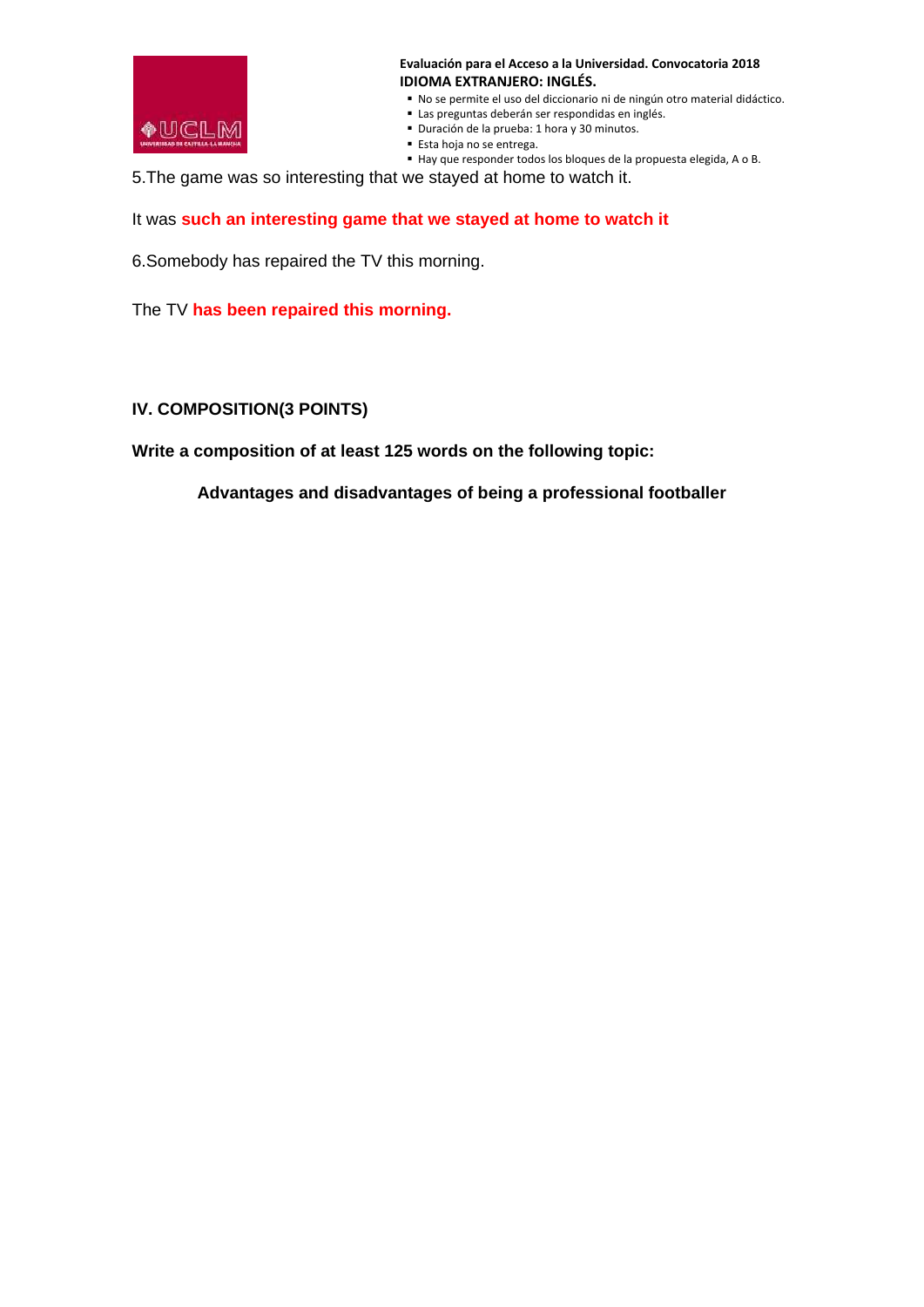

- No se permite el uso del diccionario ni de ningún otro material didáctico.
- Las preguntas deberán ser respondidas en inglés.
- Duración de la prueba: 1 hora y 30 minutos.
- Esta hoja no se entrega.
- Hay que responder todos los bloques de la propuesta elegida, A o B.

5.The game was so interesting that we stayed at home to watch it.

It was **such an interesting game that we stayed at home to watch it**

6.Somebody has repaired the TV this morning.

The TV **has been repaired this morning.**

### **IV. COMPOSITION(3 POINTS)**

**Write a composition of at least 125 words on the following topic:**

**Advantages and disadvantages of being a professional footballer**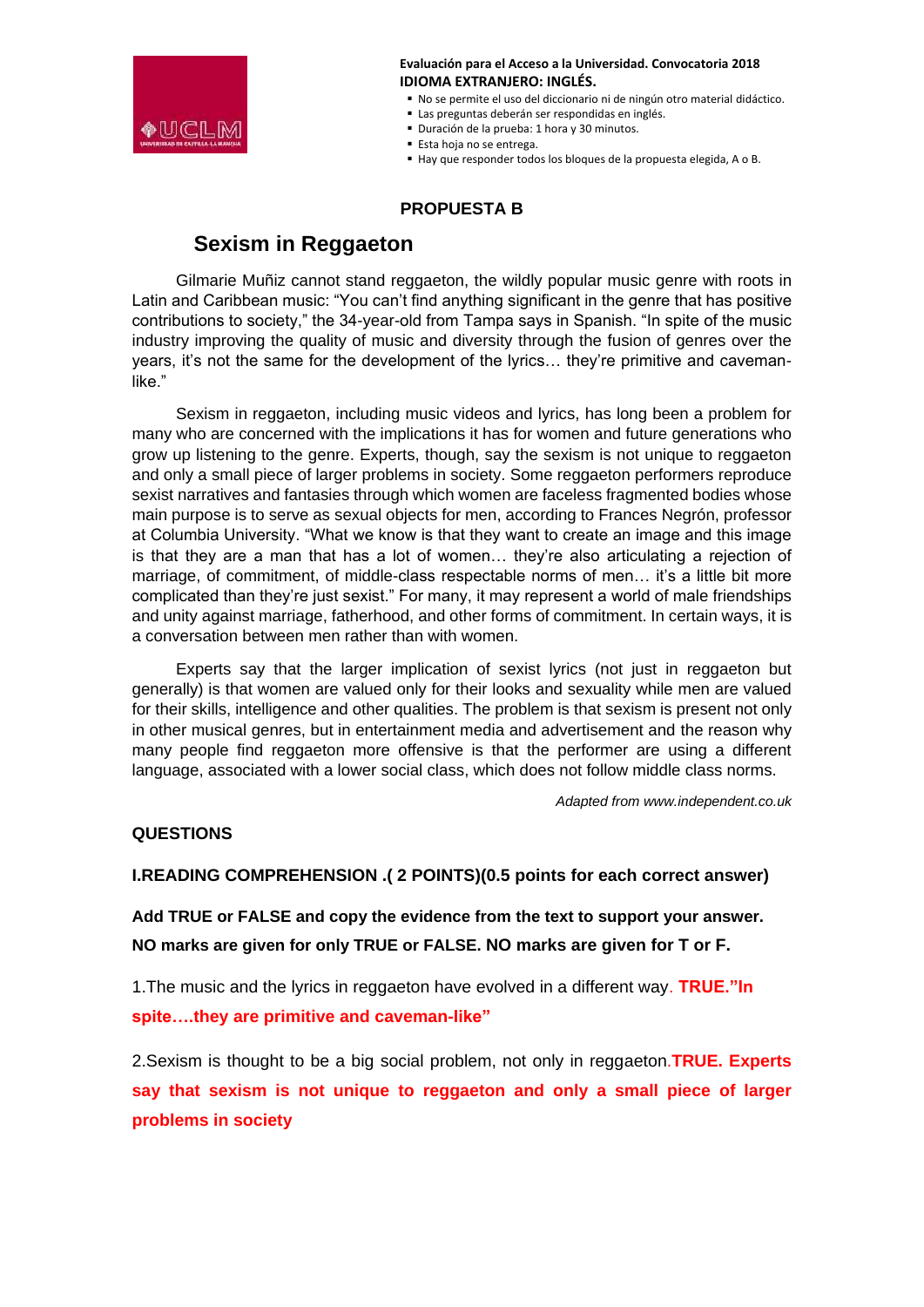

- No se permite el uso del diccionario ni de ningún otro material didáctico.
- Las preguntas deberán ser respondidas en inglés.
- Duración de la prueba: 1 hora y 30 minutos.
- Esta hoja no se entrega.
- Hay que responder todos los bloques de la propuesta elegida, A o B.

# **PROPUESTA B**

# **Sexism in Reggaeton**

Gilmarie Muñiz cannot stand reggaeton, the wildly popular music genre with roots in Latin and Caribbean music: "You can't find anything significant in the genre that has positive contributions to society," the 34-year-old from Tampa says in Spanish. "In spite of the music industry improving the quality of music and diversity through the fusion of genres over the years, it's not the same for the development of the lyrics… they're primitive and cavemanlike."

Sexism in reggaeton, including music videos and lyrics, has long been a problem for many who are concerned with the implications it has for women and future generations who grow up listening to the genre. Experts, though, say the sexism is not unique to reggaeton and only a small piece of larger problems in society. Some reggaeton performers reproduce sexist narratives and fantasies through which women are faceless fragmented bodies whose main purpose is to serve as sexual objects for men, according to Frances Negrón, professor at Columbia University. "What we know is that they want to create an image and this image is that they are a man that has a lot of women… they're also articulating a rejection of marriage, of commitment, of middle-class respectable norms of men… it's a little bit more complicated than they're just sexist." For many, it may represent a world of male friendships and unity against marriage, fatherhood, and other forms of commitment. In certain ways, it is a conversation between men rather than with women.

Experts say that the larger implication of sexist lyrics (not just in reggaeton but generally) is that women are valued only for their looks and sexuality while men are valued for their skills, intelligence and other qualities. The problem is that sexism is present not only in other musical genres, but in entertainment media and advertisement and the reason why many people find reggaeton more offensive is that the performer are using a different language, associated with a lower social class, which does not follow middle class norms.

*Adapted from www.independent.co.uk*

# **QUESTIONS**

# **I.READING COMPREHENSION .( 2 POINTS)(0.5 points for each correct answer)**

**Add TRUE or FALSE and copy the evidence from the text to support your answer. NO marks are given for only TRUE or FALSE. NO marks are given for T or F.**

1.The music and the lyrics in reggaeton have evolved in a different way. **TRUE."In spite….they are primitive and caveman-like"**

2.Sexism is thought to be a big social problem, not only in reggaeton.**TRUE. Experts say that sexism is not unique to reggaeton and only a small piece of larger problems in society**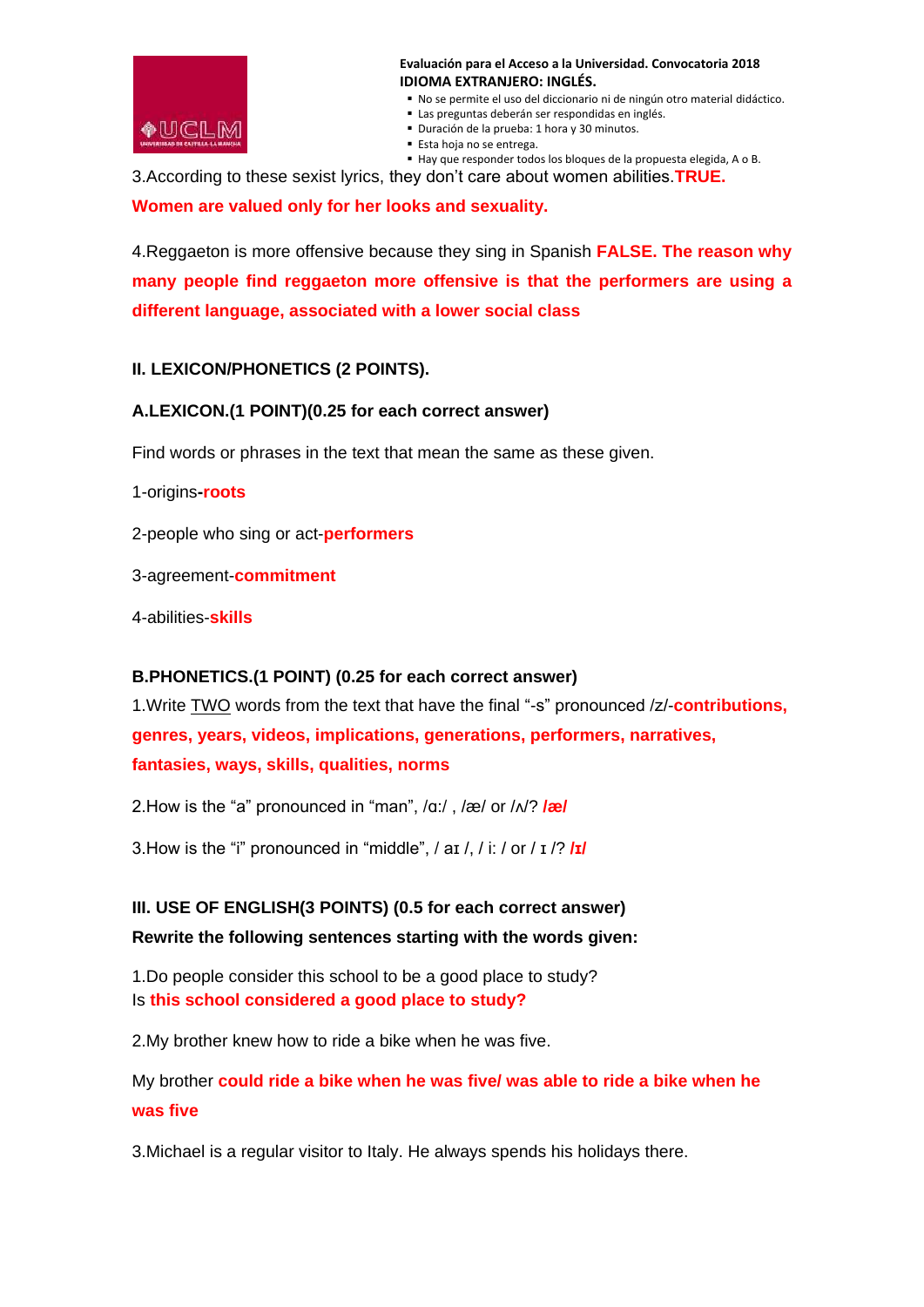

- No se permite el uso del diccionario ni de ningún otro material didáctico.
- Las preguntas deberán ser respondidas en inglés.
- Duración de la prueba: 1 hora y 30 minutos.
- Esta hoja no se entrega.

 Hay que responder todos los bloques de la propuesta elegida, A o B. 3.According to these sexist lyrics, they don't care about women abilities.**TRUE.** 

**Women are valued only for her looks and sexuality.**

4.Reggaeton is more offensive because they sing in Spanish **FALSE. The reason why many people find reggaeton more offensive is that the performers are using a different language, associated with a lower social class**

# **II. LEXICON/PHONETICS (2 POINTS).**

# **A.LEXICON.(1 POINT)(0.25 for each correct answer)**

Find words or phrases in the text that mean the same as these given.

1-origins**-roots**

2-people who sing or act-**performers**

3-agreement-**commitment**

4-abilities-**skills**

# **B.PHONETICS.(1 POINT) (0.25 for each correct answer)**

1.Write TWO words from the text that have the final "-s" pronounced /z/-**contributions, genres, years, videos, implications, generations, performers, narratives, fantasies, ways, skills, qualities, norms**

2.How is the "a" pronounced in "man", /ɑ:/ , /æ/ or /ʌ/? **/æ/**

3.How is the "i" pronounced in "middle", / aɪ /, / i: / or / ɪ /? **/ɪ/**

# **III. USE OF ENGLISH(3 POINTS) (0.5 for each correct answer) Rewrite the following sentences starting with the words given:**

1.Do people consider this school to be a good place to study? Is **this school considered a good place to study?**

2.My brother knew how to ride a bike when he was five.

My brother **could ride a bike when he was five/ was able to ride a bike when he was five**

3.Michael is a regular visitor to Italy. He always spends his holidays there.